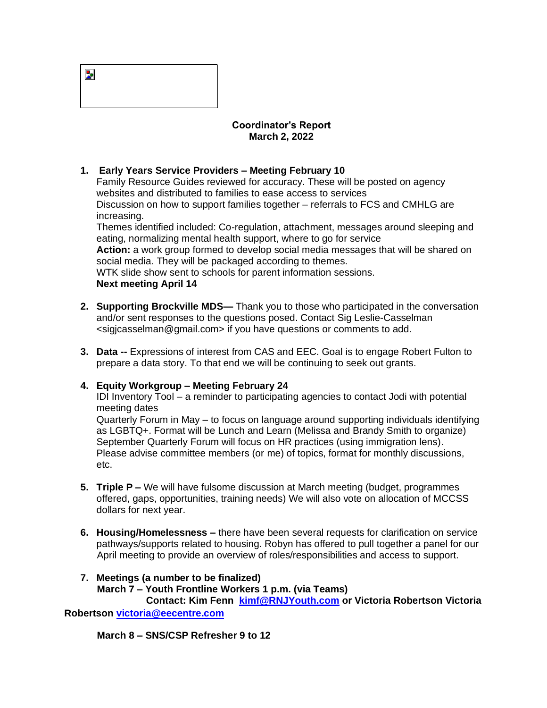| ۰.<br><b>.</b> |  |  |  |
|----------------|--|--|--|
|                |  |  |  |

## **Coordinator's Report March 2, 2022**

## **1. Early Years Service Providers – Meeting February 10**

Family Resource Guides reviewed for accuracy. These will be posted on agency websites and distributed to families to ease access to services Discussion on how to support families together – referrals to FCS and CMHLG are increasing.

Themes identified included: Co-regulation, attachment, messages around sleeping and eating, normalizing mental health support, where to go for service

**Action:** a work group formed to develop social media messages that will be shared on social media. They will be packaged according to themes.

WTK slide show sent to schools for parent information sessions. **Next meeting April 14**

- **2. Supporting Brockville MDS—** Thank you to those who participated in the conversation and/or sent responses to the questions posed. Contact Sig Leslie-Casselman <sigjcasselman@gmail.com> if you have questions or comments to add.
- **3. Data --** Expressions of interest from CAS and EEC. Goal is to engage Robert Fulton to prepare a data story. To that end we will be continuing to seek out grants.

## **4. Equity Workgroup – Meeting February 24**

IDI Inventory Tool – a reminder to participating agencies to contact Jodi with potential meeting dates

Quarterly Forum in May – to focus on language around supporting individuals identifying as LGBTQ+. Format will be Lunch and Learn (Melissa and Brandy Smith to organize) September Quarterly Forum will focus on HR practices (using immigration lens). Please advise committee members (or me) of topics, format for monthly discussions, etc.

- **5. Triple P –** We will have fulsome discussion at March meeting (budget, programmes offered, gaps, opportunities, training needs) We will also vote on allocation of MCCSS dollars for next year.
- **6. Housing/Homelessness –** there have been several requests for clarification on service pathways/supports related to housing. Robyn has offered to pull together a panel for our April meeting to provide an overview of roles/responsibilities and access to support.

## **7. Meetings (a number to be finalized)**

 **March 7 – Youth Frontline Workers 1 p.m. (via Teams)**

 **Contact: Kim Fenn [kimf@RNJYouth.com](mailto:kimf@RNJYouth.com) or Victoria Robertson Victoria Robertson [victoria@eecentre.com](mailto:victoria@eecentre.com)**

 **March 8 – SNS/CSP Refresher 9 to 12**